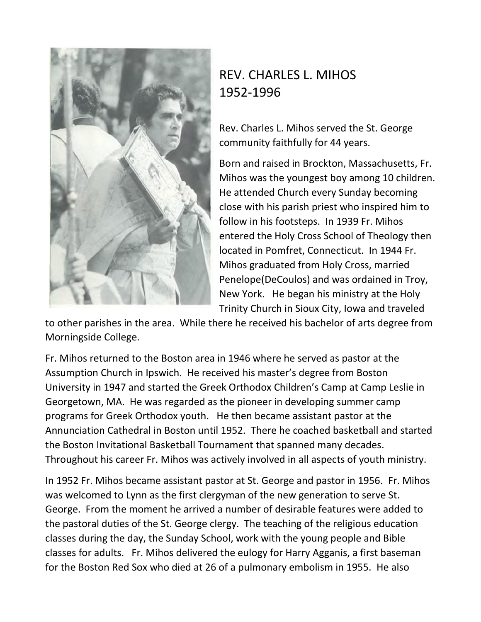

## REV. CHARLES L. MIHOS 1952-1996

Rev. Charles L. Mihos served the St. George community faithfully for 44 years.

Born and raised in Brockton, Massachusetts, Fr. Mihos was the youngest boy among 10 children. He attended Church every Sunday becoming close with his parish priest who inspired him to follow in his footsteps. In 1939 Fr. Mihos entered the Holy Cross School of Theology then located in Pomfret, Connecticut. In 1944 Fr. Mihos graduated from Holy Cross, married Penelope(DeCoulos) and was ordained in Troy, New York. He began his ministry at the Holy Trinity Church in Sioux City, Iowa and traveled

to other parishes in the area. While there he received his bachelor of arts degree from Morningside College.

Fr. Mihos returned to the Boston area in 1946 where he served as pastor at the Assumption Church in Ipswich. He received his master's degree from Boston University in 1947 and started the Greek Orthodox Children's Camp at Camp Leslie in Georgetown, MA. He was regarded as the pioneer in developing summer camp programs for Greek Orthodox youth. He then became assistant pastor at the Annunciation Cathedral in Boston until 1952. There he coached basketball and started the Boston Invitational Basketball Tournament that spanned many decades. Throughout his career Fr. Mihos was actively involved in all aspects of youth ministry.

In 1952 Fr. Mihos became assistant pastor at St. George and pastor in 1956. Fr. Mihos was welcomed to Lynn as the first clergyman of the new generation to serve St. George. From the moment he arrived a number of desirable features were added to the pastoral duties of the St. George clergy. The teaching of the religious education classes during the day, the Sunday School, work with the young people and Bible classes for adults. Fr. Mihos delivered the eulogy for Harry Agganis, a first baseman for the Boston Red Sox who died at 26 of a pulmonary embolism in 1955. He also